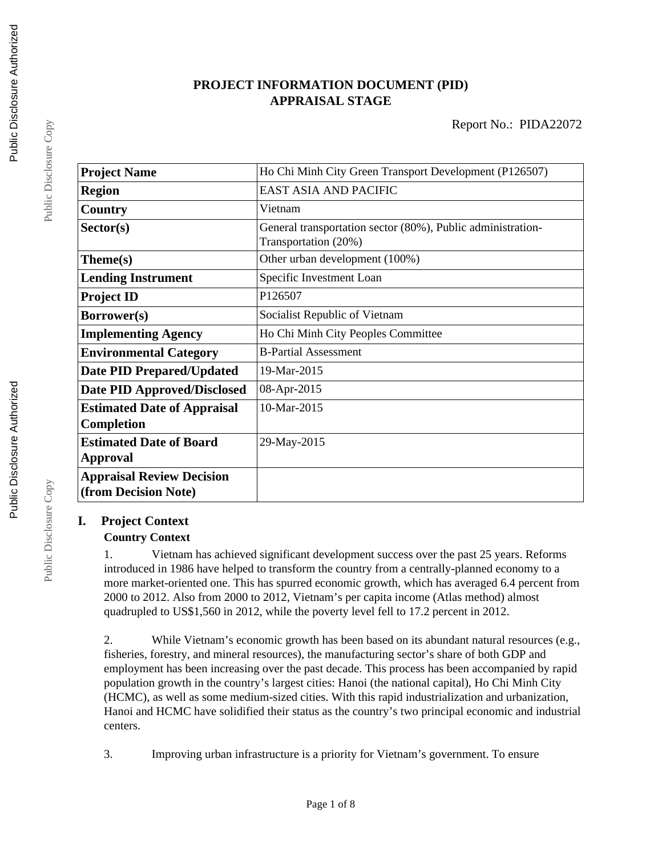# **PROJECT INFORMATION DOCUMENT (PID) APPRAISAL STAGE**

| <b>Project Name</b>                                      | Ho Chi Minh City Green Transport Development (P126507)                              |  |  |
|----------------------------------------------------------|-------------------------------------------------------------------------------------|--|--|
| <b>Region</b>                                            | <b>EAST ASIA AND PACIFIC</b>                                                        |  |  |
| Country                                                  | Vietnam                                                                             |  |  |
| Sector(s)                                                | General transportation sector (80%), Public administration-<br>Transportation (20%) |  |  |
| Theme(s)                                                 | Other urban development (100%)                                                      |  |  |
| <b>Lending Instrument</b>                                | Specific Investment Loan                                                            |  |  |
| <b>Project ID</b>                                        | P126507                                                                             |  |  |
| Borrower(s)                                              | Socialist Republic of Vietnam                                                       |  |  |
| <b>Implementing Agency</b>                               | Ho Chi Minh City Peoples Committee                                                  |  |  |
| <b>Environmental Category</b>                            | <b>B-Partial Assessment</b>                                                         |  |  |
| <b>Date PID Prepared/Updated</b>                         | 19-Mar-2015                                                                         |  |  |
| <b>Date PID Approved/Disclosed</b>                       | 08-Apr-2015                                                                         |  |  |
| <b>Estimated Date of Appraisal</b><br><b>Completion</b>  | 10-Mar-2015                                                                         |  |  |
| <b>Estimated Date of Board</b><br><b>Approval</b>        | 29-May-2015                                                                         |  |  |
| <b>Appraisal Review Decision</b><br>(from Decision Note) |                                                                                     |  |  |

# **I. Project Context**

## **Country Context**

1. Vietnam has achieved significant development success over the past 25 years. Reforms introduced in 1986 have helped to transform the country from a centrally-planned economy to a more market-oriented one. This has spurred economic growth, which has averaged 6.4 percent from 2000 to 2012. Also from 2000 to 2012, Vietnam's per capita income (Atlas method) almost quadrupled to US\$1,560 in 2012, while the poverty level fell to 17.2 percent in 2012.

2. While Vietnam's economic growth has been based on its abundant natural resources (e.g., fisheries, forestry, and mineral resources), the manufacturing sector's share of both GDP and employment has been increasing over the past decade. This process has been accompanied by rapid population growth in the country's largest cities: Hanoi (the national capital), Ho Chi Minh City (HCMC), as well as some medium-sized cities. With this rapid industrialization and urbanization, Hanoi and HCMC have solidified their status as the country's two principal economic and industrial centers.

3. Improving urban infrastructure is a priority for Vietnam's government. To ensure

Public Disclosure Copy

Public Disclosure Copy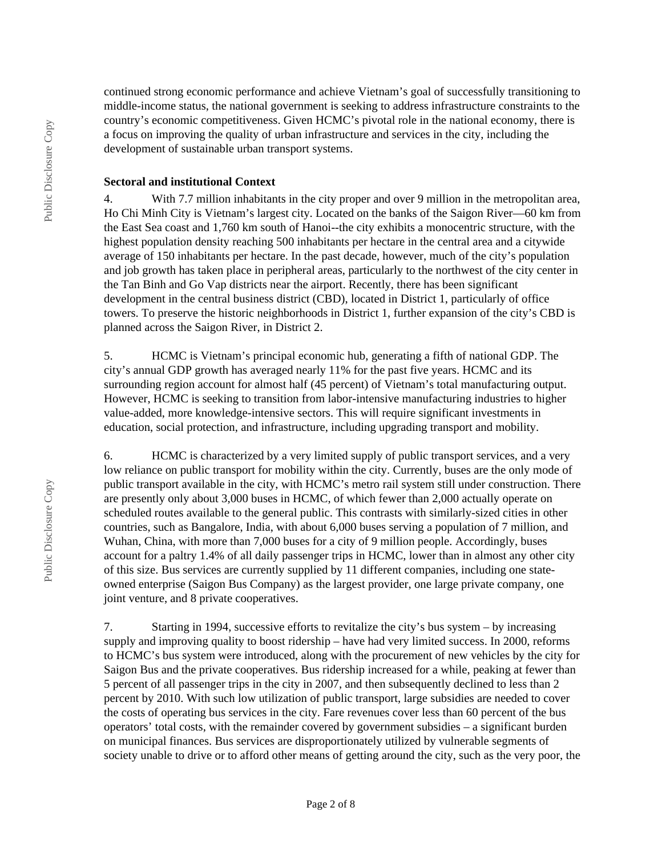continued strong economic performance and achieve Vietnam's goal of successfully transitioning to middle-income status, the national government is seeking to address infrastructure constraints to the country's economic competitiveness. Given HCMC's pivotal role in the national economy, there is a focus on improving the quality of urban infrastructure and services in the city, including the development of sustainable urban transport systems.

#### **Sectoral and institutional Context**

4. With 7.7 million inhabitants in the city proper and over 9 million in the metropolitan area, Ho Chi Minh City is Vietnam's largest city. Located on the banks of the Saigon River—60 km from the East Sea coast and 1,760 km south of Hanoi--the city exhibits a monocentric structure, with the highest population density reaching 500 inhabitants per hectare in the central area and a citywide average of 150 inhabitants per hectare. In the past decade, however, much of the city's population and job growth has taken place in peripheral areas, particularly to the northwest of the city center in the Tan Binh and Go Vap districts near the airport. Recently, there has been significant development in the central business district (CBD), located in District 1, particularly of office towers. To preserve the historic neighborhoods in District 1, further expansion of the city's CBD is planned across the Saigon River, in District 2.

5. HCMC is Vietnam's principal economic hub, generating a fifth of national GDP. The city's annual GDP growth has averaged nearly 11% for the past five years. HCMC and its surrounding region account for almost half (45 percent) of Vietnam's total manufacturing output. However, HCMC is seeking to transition from labor-intensive manufacturing industries to higher value-added, more knowledge-intensive sectors. This will require significant investments in education, social protection, and infrastructure, including upgrading transport and mobility.

6. HCMC is characterized by a very limited supply of public transport services, and a very low reliance on public transport for mobility within the city. Currently, buses are the only mode of public transport available in the city, with HCMC's metro rail system still under construction. There are presently only about 3,000 buses in HCMC, of which fewer than 2,000 actually operate on scheduled routes available to the general public. This contrasts with similarly-sized cities in other countries, such as Bangalore, India, with about 6,000 buses serving a population of 7 million, and Wuhan, China, with more than 7,000 buses for a city of 9 million people. Accordingly, buses account for a paltry 1.4% of all daily passenger trips in HCMC, lower than in almost any other city of this size. Bus services are currently supplied by 11 different companies, including one stateowned enterprise (Saigon Bus Company) as the largest provider, one large private company, one joint venture, and 8 private cooperatives.

7. Starting in 1994, successive efforts to revitalize the city's bus system – by increasing supply and improving quality to boost ridership – have had very limited success. In 2000, reforms to HCMC's bus system were introduced, along with the procurement of new vehicles by the city for Saigon Bus and the private cooperatives. Bus ridership increased for a while, peaking at fewer than 5 percent of all passenger trips in the city in 2007, and then subsequently declined to less than 2 percent by 2010. With such low utilization of public transport, large subsidies are needed to cover the costs of operating bus services in the city. Fare revenues cover less than 60 percent of the bus operators' total costs, with the remainder covered by government subsidies – a significant burden on municipal finances. Bus services are disproportionately utilized by vulnerable segments of society unable to drive or to afford other means of getting around the city, such as the very poor, the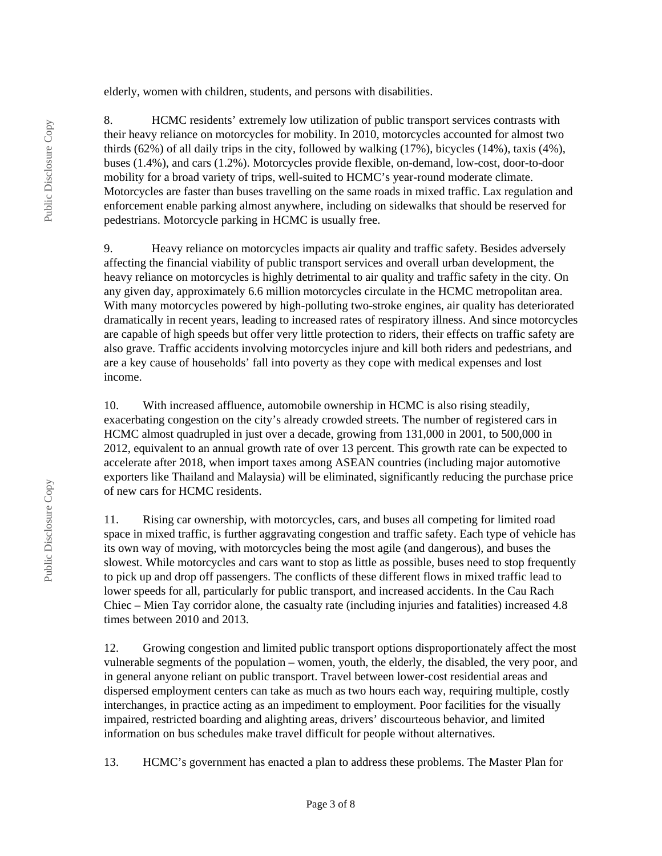elderly, women with children, students, and persons with disabilities.

8. HCMC residents' extremely low utilization of public transport services contrasts with their heavy reliance on motorcycles for mobility. In 2010, motorcycles accounted for almost two thirds (62%) of all daily trips in the city, followed by walking (17%), bicycles (14%), taxis (4%), buses (1.4%), and cars (1.2%). Motorcycles provide flexible, on-demand, low-cost, door-to-door mobility for a broad variety of trips, well-suited to HCMC's year-round moderate climate. Motorcycles are faster than buses travelling on the same roads in mixed traffic. Lax regulation and enforcement enable parking almost anywhere, including on sidewalks that should be reserved for pedestrians. Motorcycle parking in HCMC is usually free.

9. Heavy reliance on motorcycles impacts air quality and traffic safety. Besides adversely affecting the financial viability of public transport services and overall urban development, the heavy reliance on motorcycles is highly detrimental to air quality and traffic safety in the city. On any given day, approximately 6.6 million motorcycles circulate in the HCMC metropolitan area. With many motorcycles powered by high-polluting two-stroke engines, air quality has deteriorated dramatically in recent years, leading to increased rates of respiratory illness. And since motorcycles are capable of high speeds but offer very little protection to riders, their effects on traffic safety are also grave. Traffic accidents involving motorcycles injure and kill both riders and pedestrians, and are a key cause of households' fall into poverty as they cope with medical expenses and lost income.

10. With increased affluence, automobile ownership in HCMC is also rising steadily, exacerbating congestion on the city's already crowded streets. The number of registered cars in HCMC almost quadrupled in just over a decade, growing from 131,000 in 2001, to 500,000 in 2012, equivalent to an annual growth rate of over 13 percent. This growth rate can be expected to accelerate after 2018, when import taxes among ASEAN countries (including major automotive exporters like Thailand and Malaysia) will be eliminated, significantly reducing the purchase price of new cars for HCMC residents.

11. Rising car ownership, with motorcycles, cars, and buses all competing for limited road space in mixed traffic, is further aggravating congestion and traffic safety. Each type of vehicle has its own way of moving, with motorcycles being the most agile (and dangerous), and buses the slowest. While motorcycles and cars want to stop as little as possible, buses need to stop frequently to pick up and drop off passengers. The conflicts of these different flows in mixed traffic lead to lower speeds for all, particularly for public transport, and increased accidents. In the Cau Rach Chiec – Mien Tay corridor alone, the casualty rate (including injuries and fatalities) increased 4.8 times between 2010 and 2013.

12. Growing congestion and limited public transport options disproportionately affect the most vulnerable segments of the population – women, youth, the elderly, the disabled, the very poor, and in general anyone reliant on public transport. Travel between lower-cost residential areas and dispersed employment centers can take as much as two hours each way, requiring multiple, costly interchanges, in practice acting as an impediment to employment. Poor facilities for the visually impaired, restricted boarding and alighting areas, drivers' discourteous behavior, and limited information on bus schedules make travel difficult for people without alternatives.

13. HCMC's government has enacted a plan to address these problems. The Master Plan for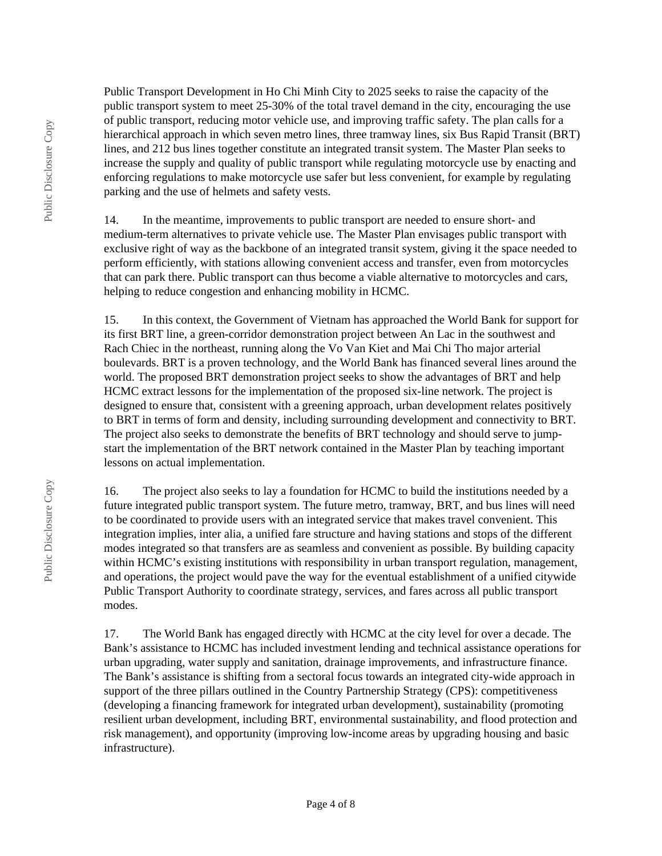Public Transport Development in Ho Chi Minh City to 2025 seeks to raise the capacity of the public transport system to meet 25-30% of the total travel demand in the city, encouraging the use of public transport, reducing motor vehicle use, and improving traffic safety. The plan calls for a hierarchical approach in which seven metro lines, three tramway lines, six Bus Rapid Transit (BRT) lines, and 212 bus lines together constitute an integrated transit system. The Master Plan seeks to increase the supply and quality of public transport while regulating motorcycle use by enacting and enforcing regulations to make motorcycle use safer but less convenient, for example by regulating parking and the use of helmets and safety vests.

14. In the meantime, improvements to public transport are needed to ensure short- and medium-term alternatives to private vehicle use. The Master Plan envisages public transport with exclusive right of way as the backbone of an integrated transit system, giving it the space needed to perform efficiently, with stations allowing convenient access and transfer, even from motorcycles that can park there. Public transport can thus become a viable alternative to motorcycles and cars, helping to reduce congestion and enhancing mobility in HCMC.

15. In this context, the Government of Vietnam has approached the World Bank for support for its first BRT line, a green-corridor demonstration project between An Lac in the southwest and Rach Chiec in the northeast, running along the Vo Van Kiet and Mai Chi Tho major arterial boulevards. BRT is a proven technology, and the World Bank has financed several lines around the world. The proposed BRT demonstration project seeks to show the advantages of BRT and help HCMC extract lessons for the implementation of the proposed six-line network. The project is designed to ensure that, consistent with a greening approach, urban development relates positively to BRT in terms of form and density, including surrounding development and connectivity to BRT. The project also seeks to demonstrate the benefits of BRT technology and should serve to jumpstart the implementation of the BRT network contained in the Master Plan by teaching important lessons on actual implementation.

16. The project also seeks to lay a foundation for HCMC to build the institutions needed by a future integrated public transport system. The future metro, tramway, BRT, and bus lines will need to be coordinated to provide users with an integrated service that makes travel convenient. This integration implies, inter alia, a unified fare structure and having stations and stops of the different modes integrated so that transfers are as seamless and convenient as possible. By building capacity within HCMC's existing institutions with responsibility in urban transport regulation, management, and operations, the project would pave the way for the eventual establishment of a unified citywide Public Transport Authority to coordinate strategy, services, and fares across all public transport modes.

17. The World Bank has engaged directly with HCMC at the city level for over a decade. The Bank's assistance to HCMC has included investment lending and technical assistance operations for urban upgrading, water supply and sanitation, drainage improvements, and infrastructure finance. The Bank's assistance is shifting from a sectoral focus towards an integrated city-wide approach in support of the three pillars outlined in the Country Partnership Strategy (CPS): competitiveness (developing a financing framework for integrated urban development), sustainability (promoting resilient urban development, including BRT, environmental sustainability, and flood protection and risk management), and opportunity (improving low-income areas by upgrading housing and basic infrastructure).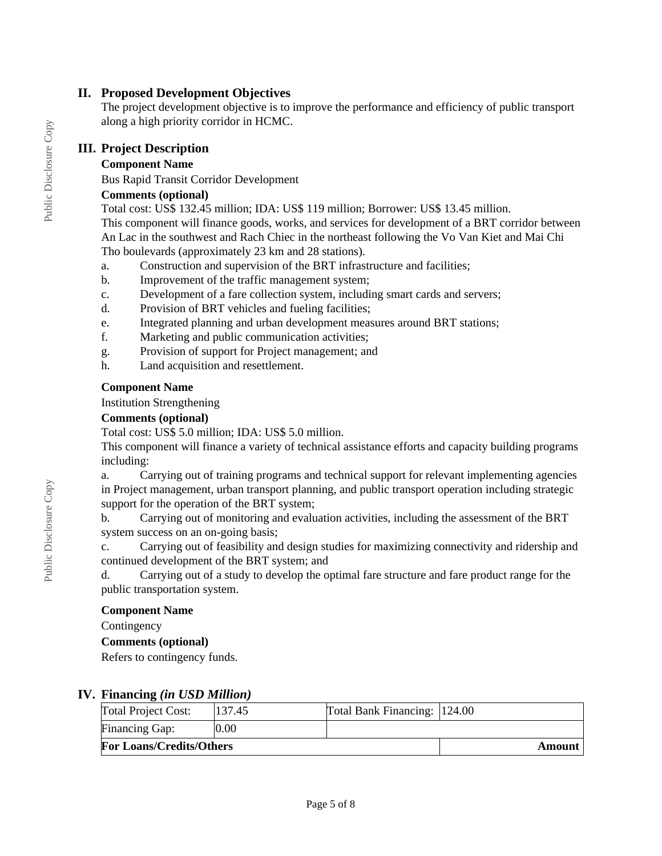## **II. Proposed Development Objectives**

The project development objective is to improve the performance and efficiency of public transport along a high priority corridor in HCMC.

# **III. Project Description**

## **Component Name**

Bus Rapid Transit Corridor Development

## **Comments (optional)**

Total cost: US\$ 132.45 million; IDA: US\$ 119 million; Borrower: US\$ 13.45 million. This component will finance goods, works, and services for development of a BRT corridor between An Lac in the southwest and Rach Chiec in the northeast following the Vo Van Kiet and Mai Chi Tho boulevards (approximately 23 km and 28 stations).

- a. Construction and supervision of the BRT infrastructure and facilities;
- b. Improvement of the traffic management system;
- c. Development of a fare collection system, including smart cards and servers;
- d. Provision of BRT vehicles and fueling facilities;
- e. Integrated planning and urban development measures around BRT stations;
- f. Marketing and public communication activities;
- g. Provision of support for Project management; and
- h. Land acquisition and resettlement.

## **Component Name**

Institution Strengthening

## **Comments (optional)**

Total cost: US\$ 5.0 million; IDA: US\$ 5.0 million.

This component will finance a variety of technical assistance efforts and capacity building programs including:

a. Carrying out of training programs and technical support for relevant implementing agencies in Project management, urban transport planning, and public transport operation including strategic support for the operation of the BRT system;

b. Carrying out of monitoring and evaluation activities, including the assessment of the BRT system success on an on-going basis;

c. Carrying out of feasibility and design studies for maximizing connectivity and ridership and continued development of the BRT system; and

d. Carrying out of a study to develop the optimal fare structure and fare product range for the public transportation system.

## **Component Name**

**Contingency** 

## **Comments (optional)**

Refers to contingency funds.

## **IV. Financing** *(in USD Million)*

| Total Project Cost:             | 137.45 | Total Bank Financing: 124.00 |        |
|---------------------------------|--------|------------------------------|--------|
| <b>Financing Gap:</b>           | 0.00   |                              |        |
| <b>For Loans/Credits/Others</b> |        |                              | Amount |

Public Disclosure Copy

Public Disclosure Copy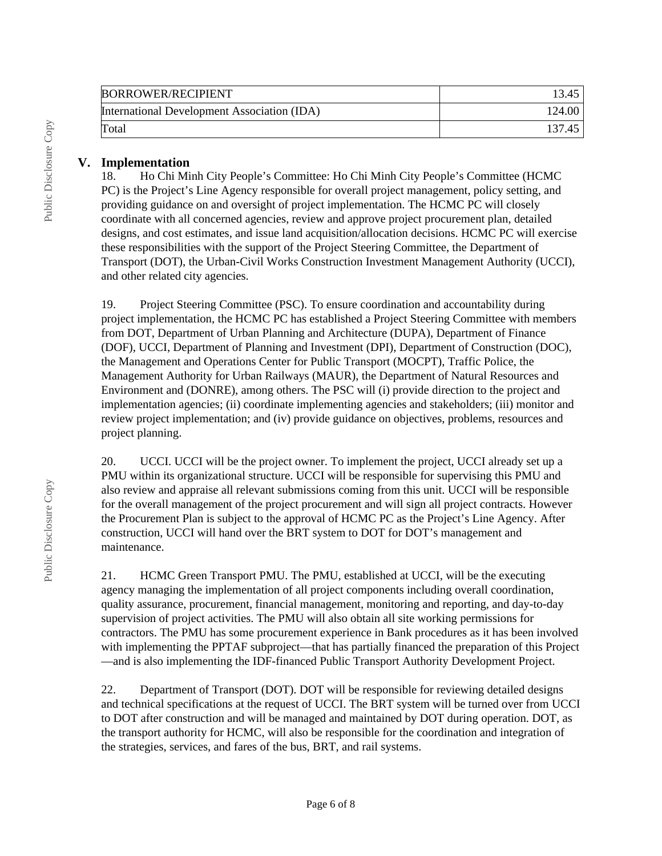| <b>BORROWER/RECIPIENT</b>                   | 13.45  |
|---------------------------------------------|--------|
| International Development Association (IDA) | 124.00 |
| Total                                       | 137.45 |

## **V. Implementation**

18. Ho Chi Minh City People's Committee: Ho Chi Minh City People's Committee (HCMC PC) is the Project's Line Agency responsible for overall project management, policy setting, and providing guidance on and oversight of project implementation. The HCMC PC will closely coordinate with all concerned agencies, review and approve project procurement plan, detailed designs, and cost estimates, and issue land acquisition/allocation decisions. HCMC PC will exercise these responsibilities with the support of the Project Steering Committee, the Department of Transport (DOT), the Urban-Civil Works Construction Investment Management Authority (UCCI), and other related city agencies.

19. Project Steering Committee (PSC). To ensure coordination and accountability during project implementation, the HCMC PC has established a Project Steering Committee with members from DOT, Department of Urban Planning and Architecture (DUPA), Department of Finance (DOF), UCCI, Department of Planning and Investment (DPI), Department of Construction (DOC), the Management and Operations Center for Public Transport (MOCPT), Traffic Police, the Management Authority for Urban Railways (MAUR), the Department of Natural Resources and Environment and (DONRE), among others. The PSC will (i) provide direction to the project and implementation agencies; (ii) coordinate implementing agencies and stakeholders; (iii) monitor and review project implementation; and (iv) provide guidance on objectives, problems, resources and project planning.

20. UCCI. UCCI will be the project owner. To implement the project, UCCI already set up a PMU within its organizational structure. UCCI will be responsible for supervising this PMU and also review and appraise all relevant submissions coming from this unit. UCCI will be responsible for the overall management of the project procurement and will sign all project contracts. However the Procurement Plan is subject to the approval of HCMC PC as the Project's Line Agency. After construction, UCCI will hand over the BRT system to DOT for DOT's management and maintenance.

21. HCMC Green Transport PMU. The PMU, established at UCCI, will be the executing agency managing the implementation of all project components including overall coordination, quality assurance, procurement, financial management, monitoring and reporting, and day-to-day supervision of project activities. The PMU will also obtain all site working permissions for contractors. The PMU has some procurement experience in Bank procedures as it has been involved with implementing the PPTAF subproject—that has partially financed the preparation of this Project —and is also implementing the IDF-financed Public Transport Authority Development Project.

22. Department of Transport (DOT). DOT will be responsible for reviewing detailed designs and technical specifications at the request of UCCI. The BRT system will be turned over from UCCI to DOT after construction and will be managed and maintained by DOT during operation. DOT, as the transport authority for HCMC, will also be responsible for the coordination and integration of the strategies, services, and fares of the bus, BRT, and rail systems.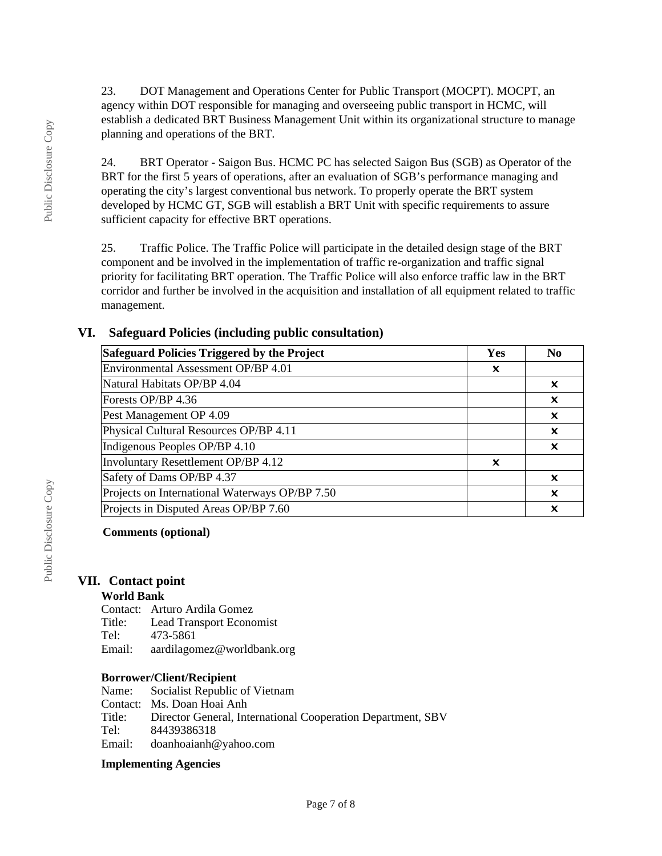23. DOT Management and Operations Center for Public Transport (MOCPT). MOCPT, an agency within DOT responsible for managing and overseeing public transport in HCMC, will establish a dedicated BRT Business Management Unit within its organizational structure to manage planning and operations of the BRT.

24. BRT Operator - Saigon Bus. HCMC PC has selected Saigon Bus (SGB) as Operator of the BRT for the first 5 years of operations, after an evaluation of SGB's performance managing and operating the city's largest conventional bus network. To properly operate the BRT system developed by HCMC GT, SGB will establish a BRT Unit with specific requirements to assure sufficient capacity for effective BRT operations.

25. Traffic Police. The Traffic Police will participate in the detailed design stage of the BRT component and be involved in the implementation of traffic re-organization and traffic signal priority for facilitating BRT operation. The Traffic Police will also enforce traffic law in the BRT corridor and further be involved in the acquisition and installation of all equipment related to traffic management.

## **VI. Safeguard Policies (including public consultation)**

| Safeguard Policies Triggered by the Project    |   | N <sub>0</sub>            |
|------------------------------------------------|---|---------------------------|
| Environmental Assessment OP/BP 4.01            | x |                           |
| Natural Habitats OP/BP 4.04                    |   | ×                         |
| Forests OP/BP 4.36                             |   | $\boldsymbol{\mathsf{x}}$ |
| Pest Management OP 4.09                        |   | x                         |
| Physical Cultural Resources OP/BP 4.11         |   | x                         |
| Indigenous Peoples OP/BP 4.10                  |   | ×                         |
| Involuntary Resettlement OP/BP 4.12            |   |                           |
| Safety of Dams OP/BP 4.37                      |   | x                         |
| Projects on International Waterways OP/BP 7.50 |   | ×                         |
| Projects in Disputed Areas OP/BP 7.60          |   | x                         |

## **Comments (optional)**

## **VII. Contact point**

#### **World Bank**

Contact: Arturo Ardila Gomez Title: Lead Transport Economist<br>Tel: 473-5861 473-5861 Email: aardilagomez@worldbank.org

#### **Borrower/Client/Recipient**

Name: Socialist Republic of Vietnam Contact: Ms. Doan Hoai Anh Title: Director General, International Cooperation Department, SBV<br>Tel: 84439386318 Tel: 84439386318 Email: doanhoaianh@yahoo.com

#### **Implementing Agencies**